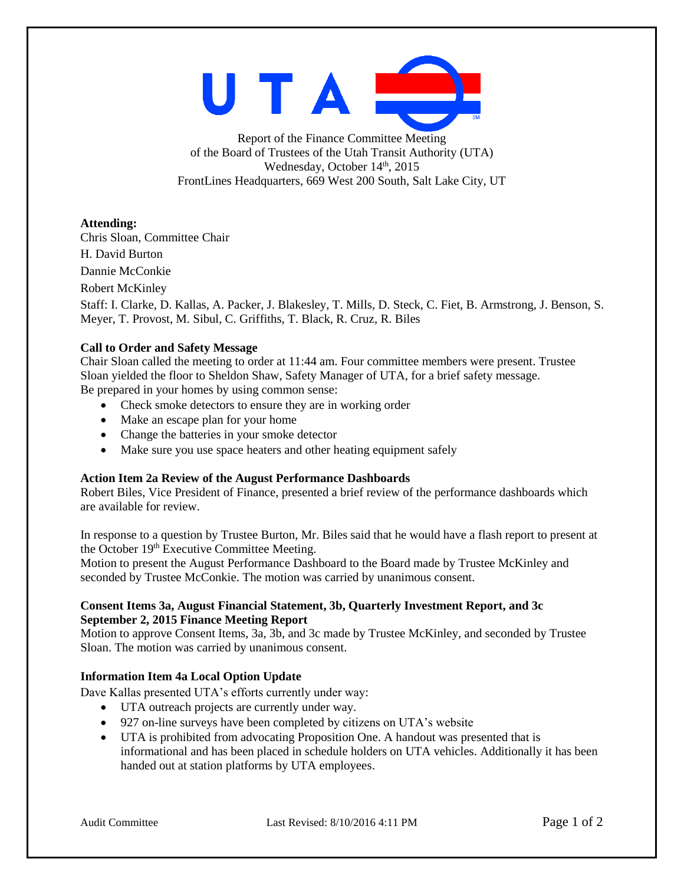

Report of the Finance Committee Meeting of the Board of Trustees of the Utah Transit Authority (UTA) Wednesday, October  $14<sup>th</sup>$ , 2015 FrontLines Headquarters, 669 West 200 South, Salt Lake City, UT

**Attending:**

Chris Sloan, Committee Chair H. David Burton Dannie McConkie Robert McKinley Staff: I. Clarke, D. Kallas, A. Packer, J. Blakesley, T. Mills, D. Steck, C. Fiet, B. Armstrong, J. Benson, S. Meyer, T. Provost, M. Sibul, C. Griffiths, T. Black, R. Cruz, R. Biles

# **Call to Order and Safety Message**

Chair Sloan called the meeting to order at 11:44 am. Four committee members were present. Trustee Sloan yielded the floor to Sheldon Shaw, Safety Manager of UTA, for a brief safety message. Be prepared in your homes by using common sense:

- Check smoke detectors to ensure they are in working order
- Make an escape plan for your home
- Change the batteries in your smoke detector
- Make sure you use space heaters and other heating equipment safely

## **Action Item 2a Review of the August Performance Dashboards**

Robert Biles, Vice President of Finance, presented a brief review of the performance dashboards which are available for review.

In response to a question by Trustee Burton, Mr. Biles said that he would have a flash report to present at the October 19<sup>th</sup> Executive Committee Meeting.

Motion to present the August Performance Dashboard to the Board made by Trustee McKinley and seconded by Trustee McConkie. The motion was carried by unanimous consent.

## **Consent Items 3a, August Financial Statement, 3b, Quarterly Investment Report, and 3c September 2, 2015 Finance Meeting Report**

Motion to approve Consent Items, 3a, 3b, and 3c made by Trustee McKinley, and seconded by Trustee Sloan. The motion was carried by unanimous consent.

# **Information Item 4a Local Option Update**

Dave Kallas presented UTA's efforts currently under way:

- UTA outreach projects are currently under way.
- 927 on-line surveys have been completed by citizens on UTA's website
- UTA is prohibited from advocating Proposition One. A handout was presented that is informational and has been placed in schedule holders on UTA vehicles. Additionally it has been handed out at station platforms by UTA employees.